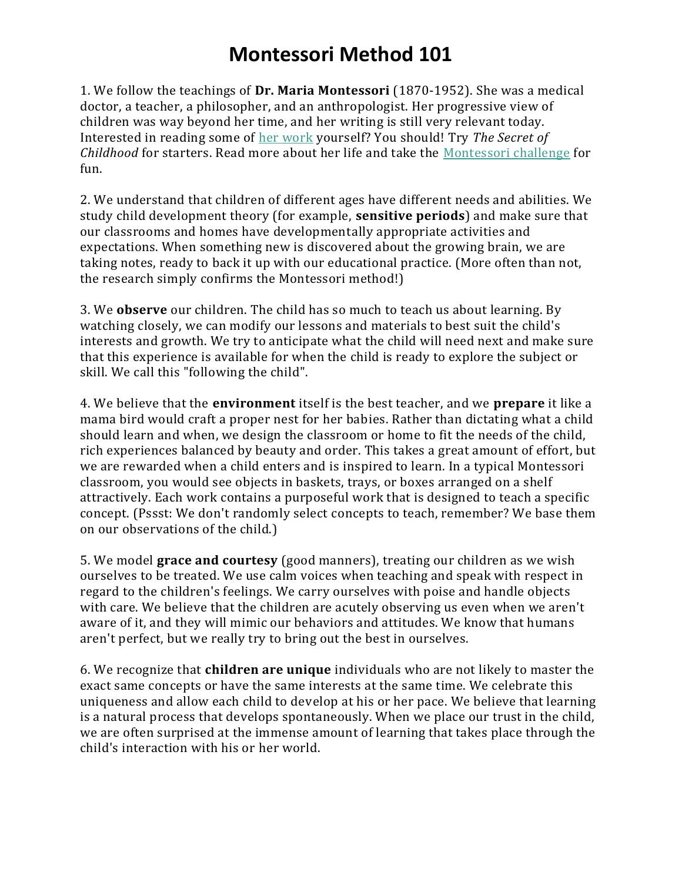## **Montessori Method 101**

1. We follow the teachings of **Dr. Maria Montessori** (1870-1952). She was a medical doctor, a teacher, a philosopher, and an anthropologist. Her progressive view of children was way beyond her time, and her writing is still very relevant today. Interested in reading some of [her work](https://www.childoftheredwoods.com/articles/the-absorbent-mom-should-you-read-montessoris-books) yourself? You should! Try *The Secret of Childhood* for starters. Read more about her life and take the [Montessori challenge](https://www.childoftheredwoods.com/articles/montessori-challenge) for fun.

2. We understand that children of different ages have different needs and abilities. We study child development theory (for example, **sensitive periods**) and make sure that our classrooms and homes have developmentally appropriate activities and expectations. When something new is discovered about the growing brain, we are taking notes, ready to back it up with our educational practice. (More often than not, the research simply confirms the Montessori method!)

3. We **observe** our children. The child has so much to teach us about learning. By watching closely, we can modify our lessons and materials to best suit the child's interests and growth. We try to anticipate what the child will need next and make sure that this experience is available for when the child is ready to explore the subject or skill. We call this "following the child".

4. We believe that the **environment** itself is the best teacher, and we **prepare** it like a mama bird would craft a proper nest for her babies. Rather than dictating what a child should learn and when, we design the classroom or home to fit the needs of the child, rich experiences balanced by beauty and order. This takes a great amount of effort, but we are rewarded when a child enters and is inspired to learn. In a typical Montessori classroom, you would see objects in baskets, trays, or boxes arranged on a shelf attractively. Each work contains a purposeful work that is designed to teach a specific concept. (Pssst: We don't randomly select concepts to teach, remember? We base them on our observations of the child.)

5. We model **grace and courtesy** (good manners), treating our children as we wish ourselves to be treated. We use calm voices when teaching and speak with respect in regard to the children's feelings. We carry ourselves with poise and handle objects with care. We believe that the children are acutely observing us even when we aren't aware of it, and they will mimic our behaviors and attitudes. We know that humans aren't perfect, but we really try to bring out the best in ourselves.

6. We recognize that **children are unique** individuals who are not likely to master the exact same concepts or have the same interests at the same time. We celebrate this uniqueness and allow each child to develop at his or her pace. We believe that learning is a natural process that develops spontaneously. When we place our trust in the child, we are often surprised at the immense amount of learning that takes place through the child's interaction with his or her world.